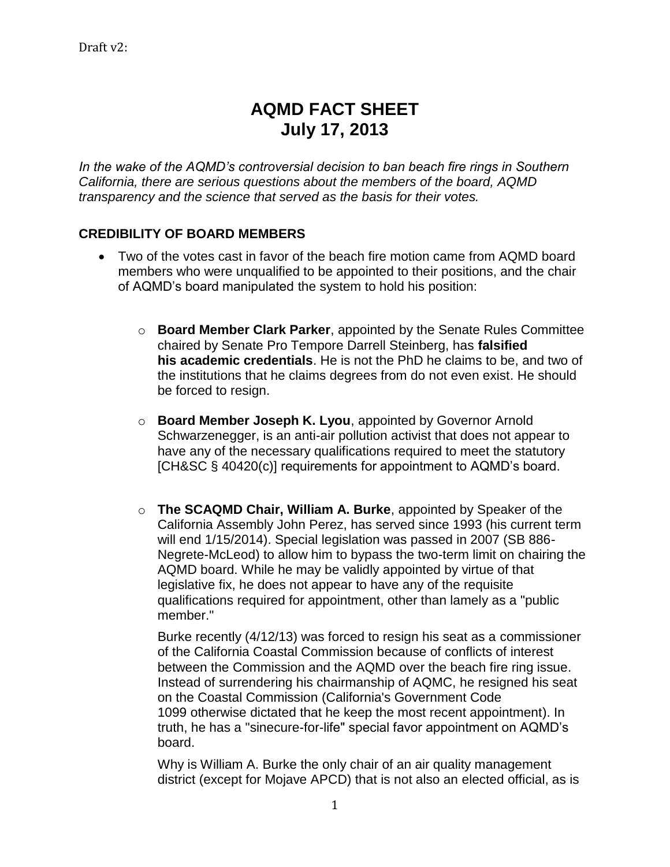# **AQMD FACT SHEET July 17, 2013**

In the wake of the AQMD's controversial decision to ban beach fire rings in Southern *California, there are serious questions about the members of the board, AQMD transparency and the science that served as the basis for their votes.* 

## **CREDIBILITY OF BOARD MEMBERS**

- Two of the votes cast in favor of the beach fire motion came from AQMD board members who were unqualified to be appointed to their positions, and the chair of AQMD's board manipulated the system to hold his position:
	- o **Board Member Clark Parker**, appointed by the Senate Rules Committee chaired by Senate Pro Tempore Darrell Steinberg, has **falsified his academic credentials**. He is not the PhD he claims to be, and two of the institutions that he claims degrees from do not even exist. He should be forced to resign.
	- o **Board Member Joseph K. Lyou**, appointed by Governor Arnold Schwarzenegger, is an anti-air pollution activist that does not appear to have any of the necessary qualifications required to meet the statutory [CH&SC § 40420(c)] requirements for appointment to AQMD's board.
	- o **The SCAQMD Chair, William A. Burke**, appointed by Speaker of the California Assembly John Perez, has served since 1993 (his current term will end 1/15/2014). Special legislation was passed in 2007 (SB 886- Negrete-McLeod) to allow him to bypass the two-term limit on chairing the AQMD board. While he may be validly appointed by virtue of that legislative fix, he does not appear to have any of the requisite qualifications required for appointment, other than lamely as a "public member."

Burke recently (4/12/13) was forced to resign his seat as a commissioner of the California Coastal Commission because of conflicts of interest between the Commission and the AQMD over the beach fire ring issue. Instead of surrendering his chairmanship of AQMC, he resigned his seat on the Coastal Commission (California's Government Code 1099 otherwise dictated that he keep the most recent appointment). In truth, he has a "sinecure-for-life" special favor appointment on AQMD's board.

Why is William A. Burke the only chair of an air quality management district (except for Mojave APCD) that is not also an elected official, as is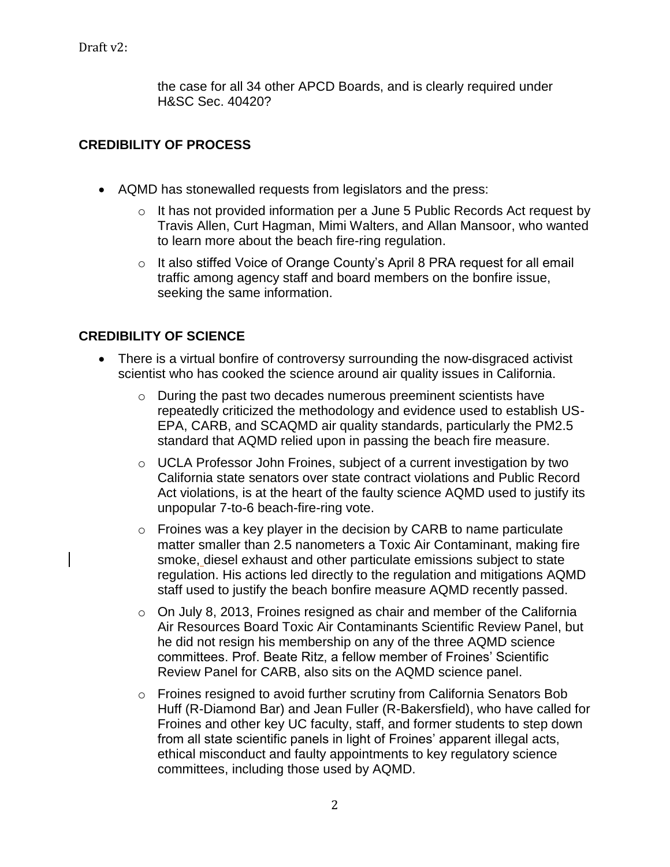Draft v2:

the case for all 34 other APCD Boards, and is clearly required under H&SC Sec. 40420?

#### **CREDIBILITY OF PROCESS**

- AQMD has stonewalled requests from legislators and the press:
	- o It has not provided information per a June 5 Public Records Act request by Travis Allen, Curt Hagman, Mimi Walters, and Allan Mansoor, who wanted to learn more about the beach fire-ring regulation.
	- o It also stiffed Voice of Orange County's April 8 PRA request for all email traffic among agency staff and board members on the bonfire issue, seeking the same information.

#### **CREDIBILITY OF SCIENCE**

- There is a virtual bonfire of controversy surrounding the now-disgraced activist scientist who has cooked the science around air quality issues in California.
	- o During the past two decades numerous preeminent scientists have repeatedly criticized the methodology and evidence used to establish US-EPA, CARB, and SCAQMD air quality standards, particularly the PM2.5 standard that AQMD relied upon in passing the beach fire measure.
	- o UCLA Professor John Froines, subject of a current investigation by two California state senators over state contract violations and Public Record Act violations, is at the heart of the faulty science AQMD used to justify its unpopular 7-to-6 beach-fire-ring vote.
	- $\circ$  Froines was a key player in the decision by CARB to name particulate matter smaller than 2.5 nanometers a Toxic Air Contaminant, making fire smoke, diesel exhaust and other particulate emissions subject to state regulation. His actions led directly to the regulation and mitigations AQMD staff used to justify the beach bonfire measure AQMD recently passed.
	- $\circ$  On July 8, 2013, Froines resigned as chair and member of the California Air Resources Board Toxic Air Contaminants Scientific Review Panel, but he did not resign his membership on any of the three AQMD science committees. Prof. Beate Ritz, a fellow member of Froines' Scientific Review Panel for CARB, also sits on the AQMD science panel.
	- o Froines resigned to avoid further scrutiny from California Senators Bob Huff (R-Diamond Bar) and Jean Fuller (R-Bakersfield), who have called for Froines and other key UC faculty, staff, and former students to step down from all state scientific panels in light of Froines' apparent illegal acts, ethical misconduct and faulty appointments to key regulatory science committees, including those used by AQMD.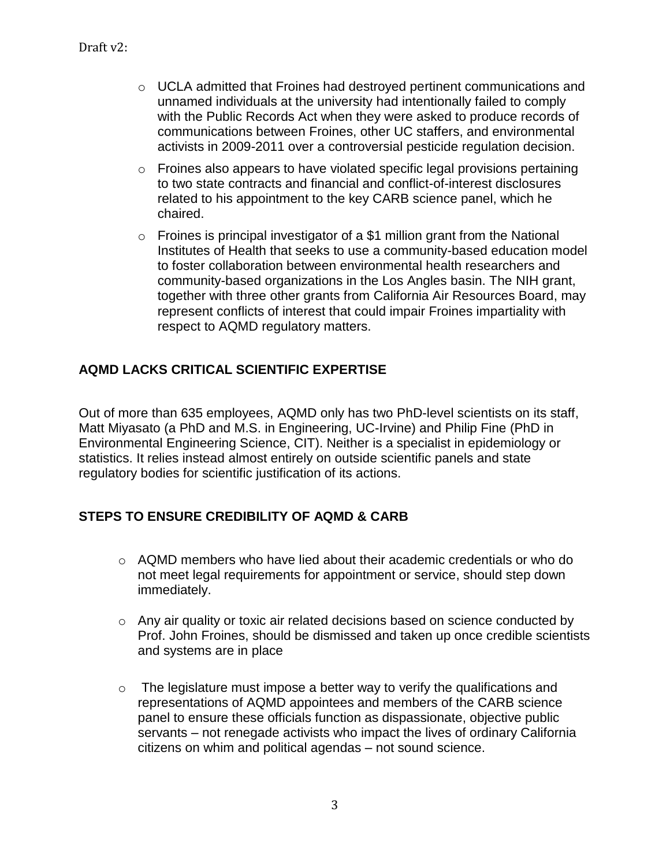- $\circ$  UCLA admitted that Froines had destroyed pertinent communications and unnamed individuals at the university had intentionally failed to comply with the Public Records Act when they were asked to produce records of communications between Froines, other UC staffers, and environmental activists in 2009-2011 over a controversial pesticide regulation decision.
- o Froines also appears to have violated specific legal provisions pertaining to two state contracts and financial and conflict-of-interest disclosures related to his appointment to the key CARB science panel, which he chaired.
- $\circ$  Froines is principal investigator of a \$1 million grant from the National Institutes of Health that seeks to use a community-based education model to foster collaboration between environmental health researchers and community-based organizations in the Los Angles basin. The NIH grant, together with three other grants from California Air Resources Board, may represent conflicts of interest that could impair Froines impartiality with respect to AQMD regulatory matters.

## **AQMD LACKS CRITICAL SCIENTIFIC EXPERTISE**

Out of more than 635 employees, AQMD only has two PhD-level scientists on its staff, Matt Miyasato (a PhD and M.S. in Engineering, UC-Irvine) and Philip Fine (PhD in Environmental Engineering Science, CIT). Neither is a specialist in epidemiology or statistics. It relies instead almost entirely on outside scientific panels and state regulatory bodies for scientific justification of its actions.

### **STEPS TO ENSURE CREDIBILITY OF AQMD & CARB**

- $\circ$  AQMD members who have lied about their academic credentials or who do not meet legal requirements for appointment or service, should step down immediately.
- o Any air quality or toxic air related decisions based on science conducted by Prof. John Froines, should be dismissed and taken up once credible scientists and systems are in place
- $\circ$  The legislature must impose a better way to verify the qualifications and representations of AQMD appointees and members of the CARB science panel to ensure these officials function as dispassionate, objective public servants – not renegade activists who impact the lives of ordinary California citizens on whim and political agendas – not sound science.